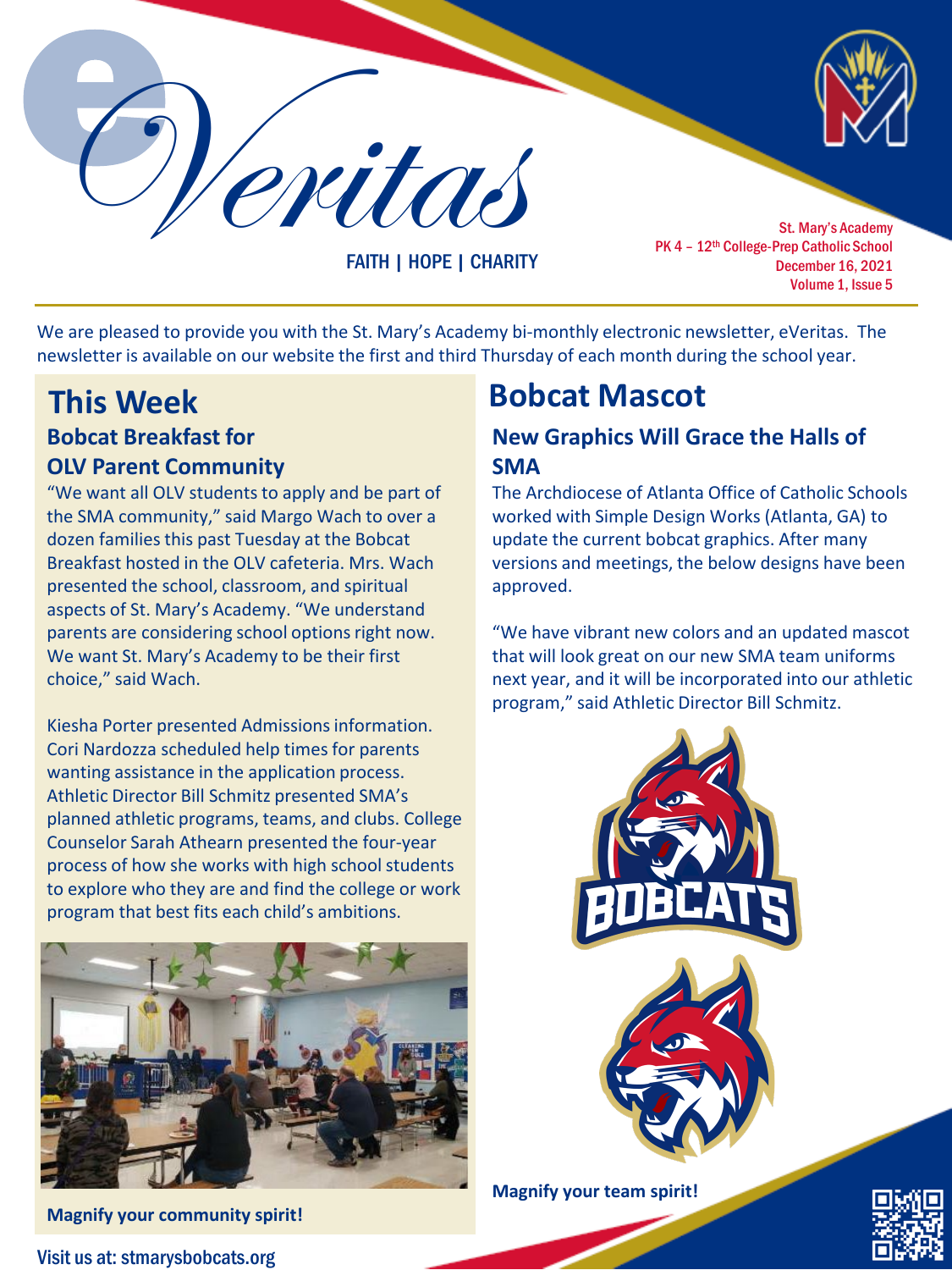Veritas St. Mary's Academy

FAITH | HOPE | CHARITY

PK 4 - 12<sup>th</sup> College-Prep Catholic School December 16, 2021 Volume 1, Issue 5

We are pleased to provide you with the St. Mary's Academy bi-monthly electronic newsletter, eVeritas. The newsletter is available on our website the first and third Thursday of each month during the school year.

# **Bobcat Breakfast for OLV Parent Community This Week Bobcat Mascot**

"We want all OLV students to apply and be part of the SMA community," said Margo Wach to over a dozen families this past Tuesday at the Bobcat Breakfast hosted in the OLV cafeteria. Mrs. Wach presented the school, classroom, and spiritual aspects of St. Mary's Academy. "We understand parents are considering school options right now. We want St. Mary's Academy to be their first choice," said Wach.

Kiesha Porter presented Admissions information. Cori Nardozza scheduled help times for parents wanting assistance in the application process. Athletic Director Bill Schmitz presented SMA's planned athletic programs, teams, and clubs. College Counselor Sarah Athearn presented the four-year process of how she works with high school students to explore who they are and find the college or work program that best fits each child's ambitions.



**Magnify your community spirit!**

Visit us at: stmarysbobcats.org

## **New Graphics Will Grace the Halls of SMA**

The Archdiocese of Atlanta Office of Catholic Schools worked with Simple Design Works (Atlanta, GA) to update the current bobcat graphics. After many versions and meetings, the below designs have been approved.

"We have vibrant new colors and an updated mascot that will look great on our new SMA team uniforms next year, and it will be incorporated into our athletic program," said Athletic Director Bill Schmitz.



**Magnify your team spirit!**